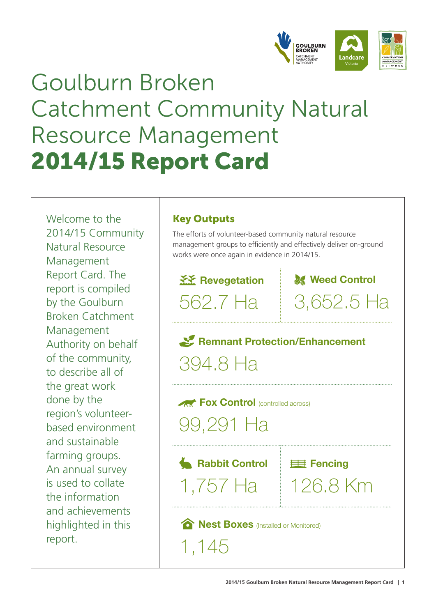

## Goulburn Broken Catchment Community Natural Resource Management 2014/15 Report Card

Welcome to the 2014/15 Community Natural Resource Management Report Card. The report is compiled by the Goulburn Broken Catchment Management Authority on behalf of the community, to describe all of the great work done by the region's volunteerbased environment and sustainable farming groups. An annual survey is used to collate the information and achievements highlighted in this report.

## Key Outputs

The efforts of volunteer-based community natural resource management groups to efficiently and effectively deliver on-ground works were once again in evidence in 2014/15.

**XX** Revegetation 562.7 Ha

**M** Weed Control 3,652.5 Ha

**Remnant Protection/Enhancement** 394.8 Ha

**Fox Control** (controlled across)

99,291 Ha

**Rabbit Control** Eller Fencing 1,757 Ha 126.8 Km

**Rest Boxes** (Installed or Monitored)

1,145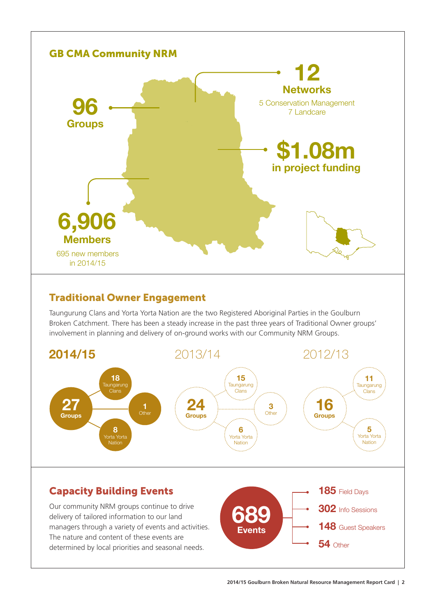

## Traditional Owner Engagement

Taungurung Clans and Yorta Yorta Nation are the two Registered Aboriginal Parties in the Goulburn Broken Catchment. There has been a steady increase in the past three years of Traditional Owner groups' involvement in planning and delivery of on-ground works with our Community NRM Groups.

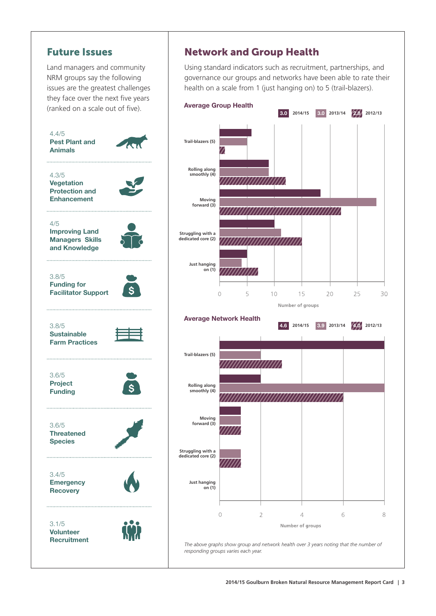